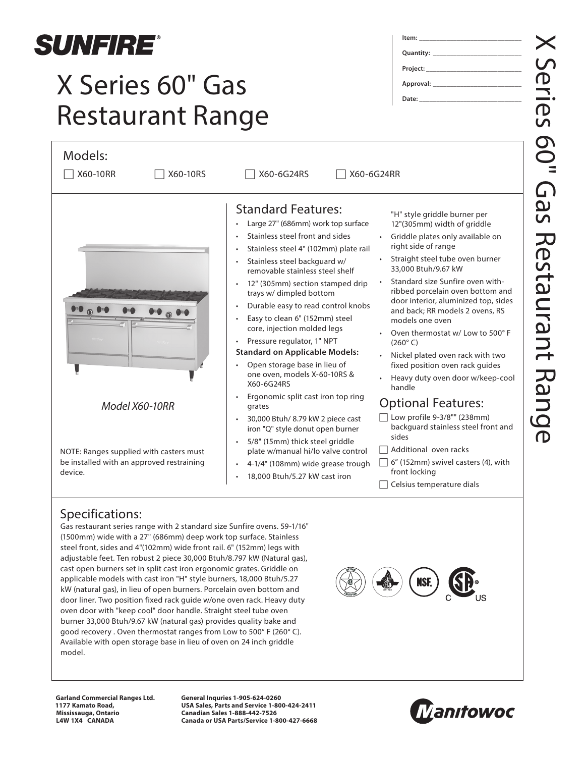

## X Series 60" Gas Restaurant Range

| Models:                                                                                         |                                                                                                                                                                                                                                                                                                                                                                                                                                                                                                                                                                                                                                                                                         |                                                                                                                                                                                                                                                                                                                                                                                                                                                                                                                                  |
|-------------------------------------------------------------------------------------------------|-----------------------------------------------------------------------------------------------------------------------------------------------------------------------------------------------------------------------------------------------------------------------------------------------------------------------------------------------------------------------------------------------------------------------------------------------------------------------------------------------------------------------------------------------------------------------------------------------------------------------------------------------------------------------------------------|----------------------------------------------------------------------------------------------------------------------------------------------------------------------------------------------------------------------------------------------------------------------------------------------------------------------------------------------------------------------------------------------------------------------------------------------------------------------------------------------------------------------------------|
| X60-10RS<br>X60-10RR                                                                            | X60-6G24RS                                                                                                                                                                                                                                                                                                                                                                                                                                                                                                                                                                                                                                                                              | X60-6G24RR                                                                                                                                                                                                                                                                                                                                                                                                                                                                                                                       |
|                                                                                                 | <b>Standard Features:</b><br>Large 27" (686mm) work top surface<br>$\bullet$<br>Stainless steel front and sides<br>Stainless steel 4" (102mm) plate rail<br>$\bullet$<br>Stainless steel backguard w/<br>$\bullet$<br>removable stainless steel shelf<br>12" (305mm) section stamped drip<br>$\bullet$<br>trays w/ dimpled bottom<br>Durable easy to read control knobs<br>$\bullet$<br>Easy to clean 6" (152mm) steel<br>core, injection molded legs<br>Pressure regulator, 1" NPT<br>$\bullet$<br><b>Standard on Applicable Models:</b><br>Open storage base in lieu of<br>$\bullet$<br>one oven, models X-60-10RS &<br>X60-6G24RS<br>Ergonomic split cast iron top ring<br>$\bullet$ | "H" style griddle burner per<br>12"(305mm) width of griddle<br>Griddle plates only available on<br>right side of range<br>Straight steel tube oven burner<br>33,000 Btuh/9.67 kW<br>Standard size Sunfire oven with-<br>ribbed porcelain oven bottom and<br>door interior, aluminized top, sides<br>and back; RR models 2 ovens, RS<br>models one oven<br>Oven thermostat w/Low to 500°F<br>$(260^\circ C)$<br>Nickel plated oven rack with two<br>fixed position oven rack guides<br>Heavy duty oven door w/keep-cool<br>handle |
| Model X60-10RR                                                                                  | grates<br>30,000 Btuh/ 8.79 kW 2 piece cast<br>$\bullet$<br>iron "Q" style donut open burner<br>5/8" (15mm) thick steel griddle<br>$\bullet$                                                                                                                                                                                                                                                                                                                                                                                                                                                                                                                                            | <b>Optional Features:</b><br>Low profile 9-3/8"" (238mm)<br>backguard stainless steel front and<br>sides                                                                                                                                                                                                                                                                                                                                                                                                                         |
| NOTE: Ranges supplied with casters must<br>be installed with an approved restraining<br>device. | plate w/manual hi/lo valve control<br>4-1/4" (108mm) wide grease trough<br>$\bullet$<br>18,000 Btuh/5.27 kW cast iron<br>$\bullet$                                                                                                                                                                                                                                                                                                                                                                                                                                                                                                                                                      | Additional oven racks<br>6" (152mm) swivel casters (4), with<br>front locking<br>Celsius temperature dials                                                                                                                                                                                                                                                                                                                                                                                                                       |

## Specifications:

Gas restaurant series range with 2 standard size Sunfire ovens. 59-1/16" (1500mm) wide with a 27" (686mm) deep work top surface. Stainless steel front, sides and 4"(102mm) wide front rail. 6" (152mm) legs with adjustable feet. Ten robust 2 piece 30,000 Btuh/8.797 kW (Natural gas), cast open burners set in split cast iron ergonomic grates. Griddle on applicable models with cast iron "H" style burners, 18,000 Btuh/5.27 kW (natural gas), in lieu of open burners. Porcelain oven bottom and door liner. Two position fixed rack guide w/one oven rack. Heavy duty oven door with "keep cool" door handle. Straight steel tube oven burner 33,000 Btuh/9.67 kW (natural gas) provides quality bake and good recovery . Oven thermostat ranges from Low to 500° F (260° C). Available with open storage base in lieu of oven on 24 inch griddle model.

NSF.



**General Inquries 1-905-624-0260 USA Sales, Parts and Service 1-800-424-2411 Canadian Sales 1-888-442-7526 Canada or USA Parts/Service 1-800-427-6668**